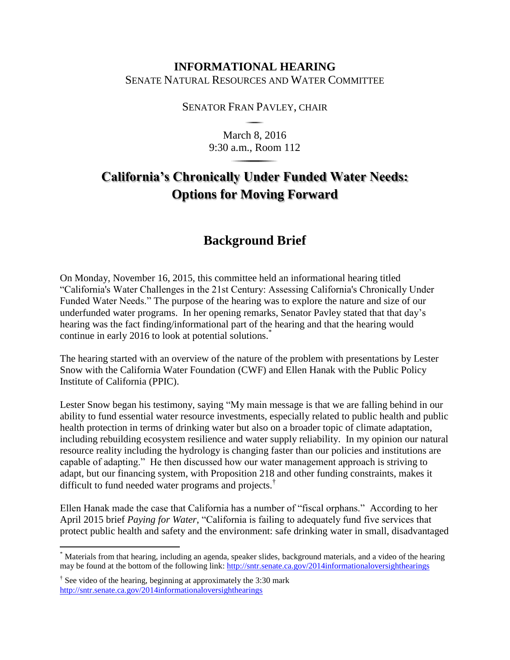## **INFORMATIONAL HEARING** SENATE NATURAL RESOURCES AND WATER COMMITTEE

## SENATOR FRAN PAVLEY, CHAIR

March 8, 2016 9:30 a.m., Room 112

## **California's Chronically Under Funded Water Needs: Options for Moving Forward**

## **Background Brief**

On Monday, November 16, 2015, this committee held an informational hearing titled "California's Water Challenges in the 21st Century: Assessing California's Chronically Under Funded Water Needs." The purpose of the hearing was to explore the nature and size of our underfunded water programs. In her opening remarks, Senator Pavley stated that that day's hearing was the fact finding/informational part of the hearing and that the hearing would continue in early 2016 to look at potential solutions.<sup>\*</sup>

The hearing started with an overview of the nature of the problem with presentations by Lester Snow with the California Water Foundation (CWF) and Ellen Hanak with the Public Policy Institute of California (PPIC).

Lester Snow began his testimony, saying "My main message is that we are falling behind in our ability to fund essential water resource investments, especially related to public health and public health protection in terms of drinking water but also on a broader topic of climate adaptation, including rebuilding ecosystem resilience and water supply reliability. In my opinion our natural resource reality including the hydrology is changing faster than our policies and institutions are capable of adapting." He then discussed how our water management approach is striving to adapt, but our financing system, with Proposition 218 and other funding constraints, makes it difficult to fund needed water programs and projects.†

Ellen Hanak made the case that California has a number of "fiscal orphans." According to her April 2015 brief *Paying for Water*, "California is failing to adequately fund five services that protect public health and safety and the environment: safe drinking water in small, disadvantaged

 $\overline{a}$ 

<sup>\*</sup> Materials from that hearing, including an agenda, speaker slides, background materials, and a video of the hearing may be found at the bottom of the following link:<http://sntr.senate.ca.gov/2014informationaloversighthearings>

<sup>&</sup>lt;sup>†</sup> See video of the hearing, beginning at approximately the 3:30 mark <http://sntr.senate.ca.gov/2014informationaloversighthearings>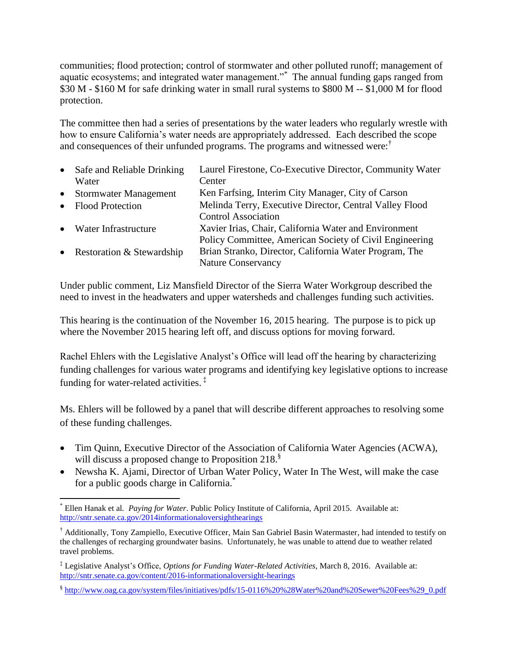communities; flood protection; control of stormwater and other polluted runoff; management of aquatic ecosystems; and integrated water management."<sup>\*</sup> The annual funding gaps ranged from \$30 M - \$160 M for safe drinking water in small rural systems to \$800 M -- \$1,000 M for flood protection.

The committee then had a series of presentations by the water leaders who regularly wrestle with how to ensure California's water needs are appropriately addressed. Each described the scope and consequences of their unfunded programs. The programs and witnessed were:†

| $\bullet$ | Safe and Reliable Drinking   | Laurel Firestone, Co-Executive Director, Community Water |
|-----------|------------------------------|----------------------------------------------------------|
|           | Water                        | Center                                                   |
| $\bullet$ | <b>Stormwater Management</b> | Ken Farfsing, Interim City Manager, City of Carson       |
|           | • Flood Protection           | Melinda Terry, Executive Director, Central Valley Flood  |
|           |                              | <b>Control Association</b>                               |
|           | • Water Infrastructure       | Xavier Irias, Chair, California Water and Environment    |
|           |                              | Policy Committee, American Society of Civil Engineering  |
|           | • Restoration & Stewardship  | Brian Stranko, Director, California Water Program, The   |
|           |                              | <b>Nature Conservancy</b>                                |

Under public comment, Liz Mansfield Director of the Sierra Water Workgroup described the need to invest in the headwaters and upper watersheds and challenges funding such activities.

This hearing is the continuation of the November 16, 2015 hearing. The purpose is to pick up where the November 2015 hearing left off, and discuss options for moving forward.

Rachel Ehlers with the Legislative Analyst's Office will lead off the hearing by characterizing funding challenges for various water programs and identifying key legislative options to increase funding for water-related activities. ‡

Ms. Ehlers will be followed by a panel that will describe different approaches to resolving some of these funding challenges.

- Tim Quinn, Executive Director of the Association of California Water Agencies (ACWA), will discuss a proposed change to Proposition 218.<sup>8</sup>
- Newsha K. Ajami, Director of Urban Water Policy, Water In The West, will make the case for a public goods charge in California.<sup>\*</sup>

 $\overline{a}$ \* Ellen Hanak et al*. Paying for Water*. Public Policy Institute of California, April 2015. Available at: <http://sntr.senate.ca.gov/2014informationaloversighthearings>

<sup>†</sup> Additionally, Tony Zampiello, Executive Officer, Main San Gabriel Basin Watermaster, had intended to testify on the challenges of recharging groundwater basins. Unfortunately, he was unable to attend due to weather related travel problems.

<sup>‡</sup> Legislative Analyst's Office, *Options for Funding Water-Related Activities*, March 8, 2016. Available at: <http://sntr.senate.ca.gov/content/2016-informationaloversight-hearings>

<sup>§</sup> [http://www.oag.ca.gov/system/files/initiatives/pdfs/15-0116%20%28Water%20and%20Sewer%20Fees%29\\_0.pdf](http://www.oag.ca.gov/system/files/initiatives/pdfs/15-0116%20%28Water%20and%20Sewer%20Fees%29_0.pdf)